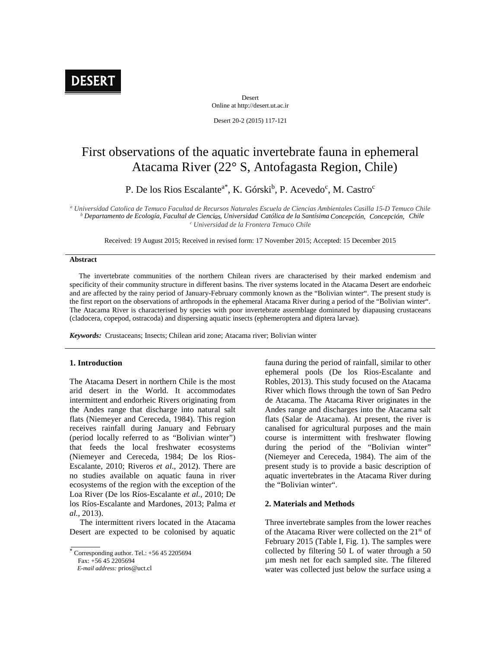

Desert Online at http://desert.ut.ac.ir

Desert 20-2 (2015) 117-121

# First observations of the aquatic invertebrate fauna in ephemeral Atacama River (22° S, Antofagasta Region, Chile)

P. De los Rios Escalante<sup>a\*</sup>, K. Górski<sup>b</sup>, P. Acevedo<sup>c</sup>, M. Castro<sup>c</sup>

*<sup>a</sup> Universidad Catolica de Temuco Facultad de Recursos Naturales Escuela de Ciencias Ambientales Casilla 15-D Temuco Chile* <sup>b</sup> Departamento de Ecología, Facultal de Ciencias, Universidad Católica de la Santísima Concepción, Concepción, Chile *<sup>c</sup> Universidad de la Frontera Temuco Chile*

Received: 19 August 2015; Received in revised form: 17 November 2015; Accepted: 15 December 2015

### **Abstract**

The invertebrate communities of the northern Chilean rivers are characterised by their marked endemism and specificity of their community structure in different basins. The river systems located in the Atacama Desert are endorheic and are affected by the rainy period of January-February commonly known as the "Bolivian winter". The present study is the first report on the observations of arthropods in the ephemeral Atacama River during a period of the "Bolivian winter". The Atacama River is characterised by species with poor invertebrate assemblage dominated by diapausing crustaceans (cladocera, copepod, ostracoda) and dispersing aquatic insects (ephemeroptera and diptera larvae).

*Keywords:* Crustaceans; Insects; Chilean arid zone; Atacama river; Bolivian winter

# **1. Introduction**

The Atacama Desert in northern Chile is the most arid desert in the World. It accommodates intermittent and endorheic Rivers originating from the Andes range that discharge into natural salt flats (Niemeyer and Cereceda, 1984). This region receives rainfall during January and February (period locally referred to as "Bolivian winter") that feeds the local freshwater ecosystems (Niemeyer and Cereceda, 1984; De los Rios- Escalante, 2010; Riveros *et al*., 2012). There are no studies available on aquatic fauna in river ecosystems of the region with the exception of the Loa River (De los Ríos-Escalante *et al.*, 2010; De los Ríos-Escalante and Mardones, 2013; Palma *et al.*, 2013).

The intermittent rivers located in the Atacama Desert are expected to be colonised by aquatic

Corresponding author. Tel.: +56 45 2205694

 $Fax: +56452205694$ 

*E-mail address:* prios@uct.cl

fauna during the period of rainfall, similar to other ephemeral pools (De los Rios-Escalante and Robles, 2013). This study focused on the Atacama River which flows through the town of San Pedro de Atacama. The Atacama River originates in the Andes range and discharges into the Atacama salt flats (Salar de Atacama). At present, the river is canalised for agricultural purposes and the main course is intermittent with freshwater flowing during the period of the "Bolivian winter" (Niemeyer and Cereceda, 1984). The aim of the present study is to provide a basic description of aquatic invertebrates in the Atacama River during the "Bolivian winter".

# **2. Materials and Methods**

Three invertebrate samples from the lower reaches of the Atacama River were collected on the 21st of February 2015 (Table I, Fig. 1). The samples were collected by filtering 50 L of water through a 50 µm mesh net for each sampled site. The filtered water was collected just below the surface using a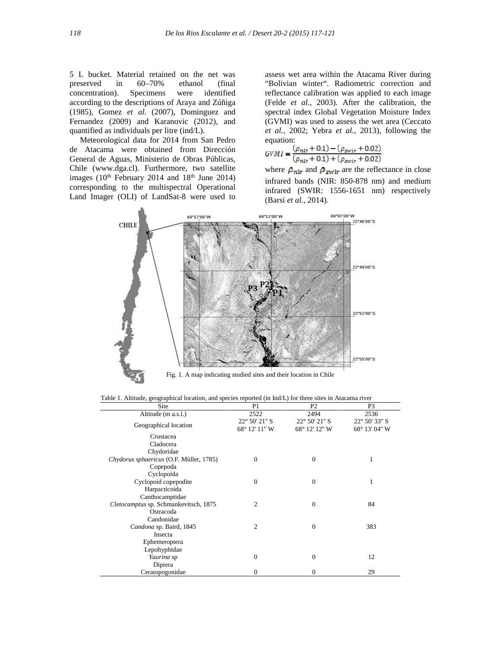5 L bucket. Material retained on the net was preserved in 60–70% ethanol (final concentration). Specimens were identified according to the descriptions of Araya and Zúñiga (1985), Gomez *et al.* (2007), Dominguez and Fernandez (2009) and Karanovic (2012), and quantified as individuals per litre (ind/L).

Meteorological data for 2014 from San Pedro de Atacama were obtained from Dirección General de Aguas, Ministerio de Obras Públicas, Chile (www.dga.cl). Furthermore, two satellite images  $(10<sup>th</sup>$  February 2014 and  $18<sup>th</sup>$  June 2014) corresponding to the multispectral Operational Land Imager (OLI) of LandSat-8 were used to

assess wet area within the Atacama River during "Bolivian winter". Radiometric correction and reflectance calibration was applied to each image (Felde *et al.*, 2003). After the calibration, the spectral index Global Vegetation Moisture Index (GVMI) was used to assess the wet area (Ceccato *et al.*, 2002; Yebra *et al.*, 2013), following the equation:

$$
GVMI = \frac{(\rho_{nir} + 0.1) - (\rho_{swir} + 0.02)}{(\rho_{nir} + 0.1) + (\rho_{swir} + 0.02)}
$$

where  $\rho_{nir}$  and  $\rho_{swir}$  are the reflectance in close infrared bands (NIR: 850-878 nm) and medium infrared (SWIR: 1556-1651 nm) respectively (Barsi *et al.*, 2014).



Table 1. Altitude, geographical location, and species reported (in Ind/L) for three sites in Atacama river

| Site                                    | P <sub>1</sub>                          | P <sub>2</sub>                          | P <sub>3</sub>                          |
|-----------------------------------------|-----------------------------------------|-----------------------------------------|-----------------------------------------|
| Altitude (m a.s.l.)                     | 2522                                    | 2494                                    | 2536                                    |
| Geographical location                   | $22^{\circ}$ 50' 21" S<br>68° 12' 11" W | $22^{\circ}$ 50' 21" S<br>68° 12′ 12″ W | $22^{\circ}$ 50' 33" S<br>68° 13' 04" W |
| Crustacea                               |                                         |                                         |                                         |
| Cladocera                               |                                         |                                         |                                         |
| Chydoridae                              |                                         |                                         |                                         |
| Chydorus sphaericus (O.F. Müller, 1785) | $\mathbf{0}$                            | $\mathbf{0}$                            | 1                                       |
| Copepoda                                |                                         |                                         |                                         |
| Cyclopoida                              |                                         |                                         |                                         |
| Cyclopoid copepodite                    | $\mathbf{0}$                            | $\mathbf{0}$                            | 1                                       |
| Harpacticoida                           |                                         |                                         |                                         |
| Canthocamptidae                         |                                         |                                         |                                         |
| Cletocamptus sp. Schmankevitsch, 1875   | $\overline{2}$                          | $\overline{0}$                          | 84                                      |
| Ostracoda                               |                                         |                                         |                                         |
| Candonidae                              |                                         |                                         |                                         |
| Candona sp. Baird, 1845                 | 2                                       | $\overline{0}$                          | 383                                     |
| Insecta                                 |                                         |                                         |                                         |
| Ephemeroptera                           |                                         |                                         |                                         |
| Lepohyphidae                            |                                         |                                         |                                         |
| Yaurina sp                              | $\overline{0}$                          | $\overline{0}$                          | 12                                      |
| Diptera                                 |                                         |                                         |                                         |
| Ceratopogonidae                         | $\boldsymbol{0}$                        | $\mathbf{0}$                            | 29                                      |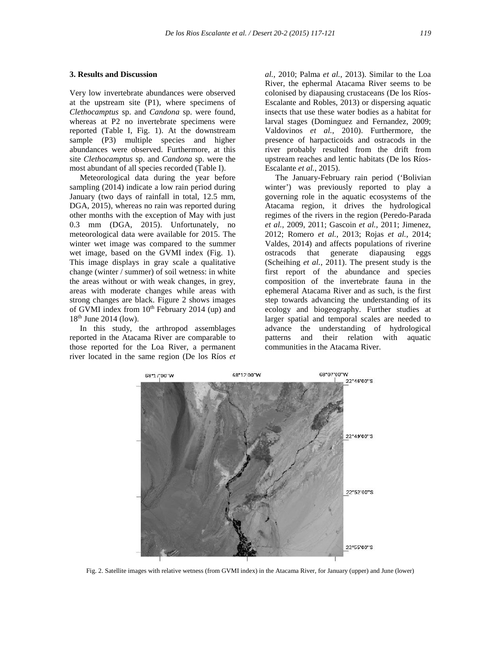# **3. Results and Discussion**

Very low invertebrate abundances were observed at the upstream site (P1), where specimens of *Clethocamptus* sp. and *Candona* sp. were found, whereas at P2 no invertebrate specimens were reported (Table I, Fig. 1). At the downstream sample (P3) multiple species and higher abundances were observed. Furthermore, at this site *Clethocamptus* sp. and *Candona* sp. were the most abundant of all species recorded (Table I).

Meteorological data during the year before sampling (2014) indicate a low rain period during January (two days of rainfall in total, 12.5 mm, DGA, 2015), whereas no rain was reported during other months with the exception of May with just 0.3 mm (DGA, 2015). Unfortunately, no meteorological data were available for 2015. The winter wet image was compared to the summer wet image, based on the GVMI index (Fig. 1). This image displays in gray scale a qualitative change (winter / summer) of soil wetness: in white the areas without or with weak changes, in grey, areas with moderate changes while areas with strong changes are black. Figure 2 shows images of GVMI index from  $10^{th}$  February 2014 (up) and 18<sup>th</sup> June 2014 (low).

In this study, the arthropod assemblages reported in the Atacama River are comparable to those reported for the Loa River, a permanent river located in the same region (De los Ríos *et*

*al.*, 2010; Palma *et al.*, 2013). Similar to the Loa River, the ephermal Atacama River seems to be colonised by diapausing crustaceans (De los Ríos- Escalante and Robles, 2013) or dispersing aquatic insects that use these water bodies as a habitat for larval stages (Dominguez and Fernandez, 2009; Valdovinos *et al.*, 2010). Furthermore, the presence of harpacticoids and ostracods in the river probably resulted from the drift from upstream reaches and lentic habitats (De los Ríos- Escalante *et al.*, 2015).

The January-February rain period ('Bolivian winter') was previously reported to play a governing role in the aquatic ecosystems of the Atacama region, it drives the hydrological regimes of the rivers in the region (Peredo-Parada *et al.*, 2009, 2011; Gascoin *et al.*, 2011; Jimenez, 2012; Romero *et al.*, 2013; Rojas *et al.*, 2014; Valdes, 2014) and affects populations of riverine ostracods that generate diapausing eggs (Scheihing *et al.*, 2011). The present study is the first report of the abundance and species composition of the invertebrate fauna in the ephemeral Atacama River and as such, is the first step towards advancing the understanding of its ecology and biogeography. Further studies at larger spatial and temporal scales are needed to advance the understanding of hydrological and their relation with aquatic communities in the Atacama River.



Fig. 2. Satellite images with relative wetness (from GVMI index) in the Atacama River, for January (upper) and June (lower)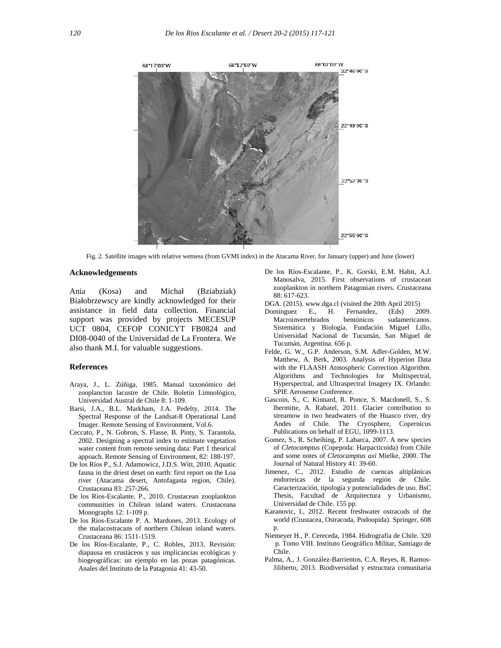

Fig. 2. Satellite images with relative wetness (from GVMI index) in the Atacama River, for January (upper) and June (lower)

#### **Acknowledgements**

Ania (Kosa) and Michał (Bziabziak) Białobrzewscy are kindly acknowledged for their assistance in field data collection. Financial support was provided by projects MECESUP UCT 0804, CEFOP CONICYT FB0824 and DI08-0040 of the Universidad de La Frontera. We also thank M.I. for valuable suggestions.

## **References**

- Araya, J., L. Zúñiga, 1985. Manual taxonómico del zooplancton lacustre de Chile. Boletín Limnológico, Universidad Austral de Chile 8: 1-109.
- Barsi, J.A., B.L. Markham, J.A. Pedelty, 2014. The Spectral Response of the Landsat-8 Operational Land Imager. Remote Sensing of Environment, Vol.6.
- Ceccato, P., N. Gobron, S. Flasse, B. Pinty, S. Tarantola, 2002. Designing a spectral index to estimate vegetation water content from remote sensing data: Part 1 theorical appoach. Remote Sensing of Environment, 82: 188-197.
- De los Ríos P., S.J. Adamowicz, J.D.S. Witt, 2010. Aquatic fauna in the driest deset on earth: first report on the Loa river (Atacama desert, Antofagasta region, Chile). Crustaceana 83: 257-266.
- De los Ríos-Escalante, P., 2010. Crustacean zooplankton communities in Chilean inland waters. Crustaceana Monographs 12: 1-109 p.
- De los Ríos-Escalante P. A. Mardones, 2013. Ecology of the malacostracans of northern Chilean inland waters. Crustaceana 86: 1511-1519.
- De los Ríos-Escalante, P., C. Robles, 2013. Revisión: diapausa en crustáceos y sus implicancias ecológicas y biogeográficas: un ejemplo en las pozas patagónicas. Anales del Instituto de la Patagonia 41: 43-50.
- De los Ríos-Escalante, P., K. Gorski, E.M. Habit, A.J. Manosalva, 2015. First observations of crustacean zooplankton in northern Patagonian rivers. Crustaceana 88: 617-623.
- DGA. (2015). www.dga.cl (visited the 20th April 2015)<br>Dominguez E., H. Fernandez, (Eds) 20
- Dominguez E., H. Fernandez, (Eds) 2009. Macroinvertebrados bentónicos sudamericanos. Sistemática y Biología. Fundación Miguel Lillo, Universidad Nacional de Tucumán, San Miguel de Tucumán, Argentina. 656 p.
- Felde, G. W., G.P. Anderson, S.M. Adler-Golden, M.W. Matthew, A. Berk, 2003. Analysis of Hyperion Data with the FLAASH Atmospheric Correction Algorithm. Algorithms and Technologies for Multispectral, Hyperspectral, and Ultraspectral Imagery IX. Orlando: SPIE Aerosense Conference.
- Gascoin, S., C. Kinnard, R. Ponce, S. Macdonell, S., S. lhermitte, A. Rabatel, 2011. Glacier contribution to streamow in two headwaters of the Huasco river, dry Andes of Chile. The Cryosphere, Copernicus Publications on behalf of EGU, 1099-1113.
- Gomez, S., R. Scheihing, P. Labarca, 2007. A new species of *Cletocamptus* (Copepoda: Harpacticoida) from Chile and some notes of *Cletocamptus axi* Mielke, 2000. The Journal of Natural History 41: 39-60.
- Jimenez, C., 2012. Estudio de cuencas altiplánicas endorreicas de la segunda región de Chile. Caracterización, tipología y potencialidades de uso. BsC Thesis, Facultad de Arquitectura y Urbanismo, Universidad de Chile. 155 pp.
- Karanovic, I., 2012. Recent freshwater ostracods of the world (Crustacea, Ostracoda, Podoopida). Springer, 608 p.
- Niemeyer H., P. Cereceda, 1984. Hidrografía de Chile. 320 p. Tomo VIII. Instituto Geográfico Militar, Santiago de Chile.
- Palma, A., J. González-Barrientos, C.A. Reyes, R. Ramos- Jiliberto, 2013. Biodiversidad y estructura comunitaria